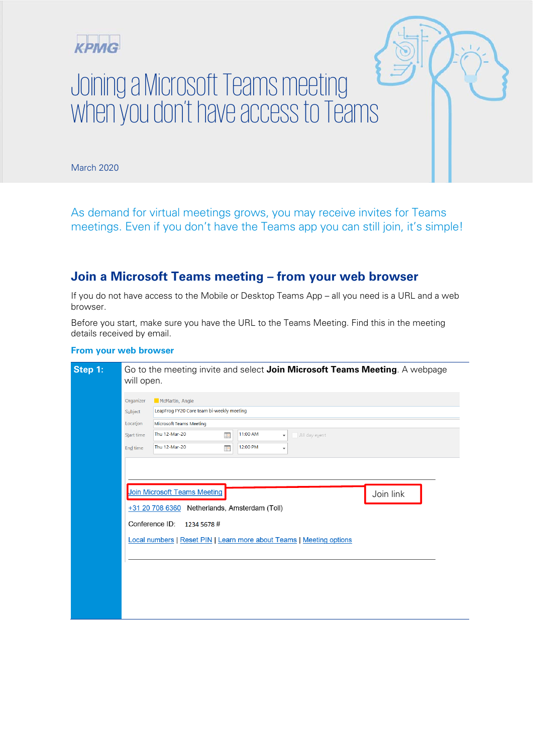

## Joining a Microsoft Teams meeting when you don't have access to Teams

March 2020

As demand for virtual meetings grows, you may receive invites for Teams meetings. Even if you don't have the Teams app you can still join, it's simple!

## **Join a Microsoft Teams meeting – from your web browser**

If you do not have access to the Mobile or Desktop Teams App – all you need is a URL and a web browser.

Before you start, make sure you have the URL to the Teams Meeting. Find this in the meeting details received by email.

## **From your web browser**

| Step 1: | Go to the meeting invite and select Join Microsoft Teams Meeting. A webpage<br>will open.                                                        |  |  |
|---------|--------------------------------------------------------------------------------------------------------------------------------------------------|--|--|
|         | McMartin, Angie<br>Organizer<br>LeapFrog FY20 Core team bi-weekly meeting<br>Subject                                                             |  |  |
|         | Location<br><b>Microsoft Teams Meeting</b><br>Thu 12-Mar-20<br>11:00 AM<br>$\mathbf{p}$<br>Start time<br>All day event<br>$\overline{\mathbf v}$ |  |  |
|         | Thu 12-Mar-20<br>12:00 PM<br>$\blacksquare$<br>End time<br>$\blacktriangledown$                                                                  |  |  |
|         | <b>Join Microsoft Teams Meeting</b><br>Join link                                                                                                 |  |  |
|         | +31 20 708 6360<br>Netherlands, Amsterdam (Toll)<br>Conference ID:<br>1234 5678 #                                                                |  |  |
|         | Local numbers   Reset PIN   Learn more about Teams   Meeting options                                                                             |  |  |
|         |                                                                                                                                                  |  |  |
|         |                                                                                                                                                  |  |  |